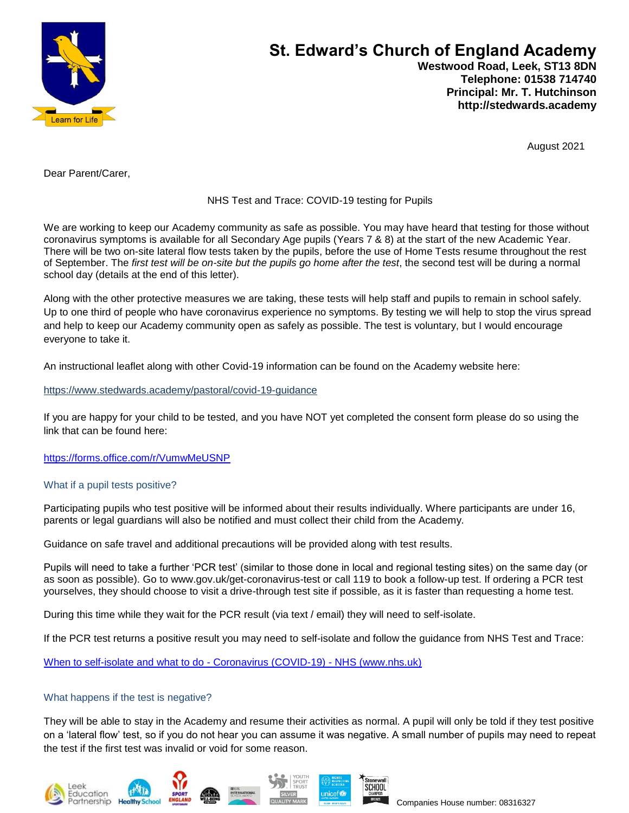

# **St. Edward's Church of England Academy Westwood Road, Leek, ST13 8DN Telephone: 01538 714740 Principal: Mr. T. Hutchinson**

August 2021

 **http://stedwards.academy**

Dear Parent/Carer,

## NHS Test and Trace: COVID-19 testing for Pupils

We are working to keep our Academy community as safe as possible. You may have heard that testing for those without coronavirus symptoms is available for all Secondary Age pupils (Years 7 & 8) at the start of the new Academic Year. There will be two on-site lateral flow tests taken by the pupils, before the use of Home Tests resume throughout the rest of September. The *first test will be on-site but the pupils go home after the test*, the second test will be during a normal school day (details at the end of this letter).

Along with the other protective measures we are taking, these tests will help staff and pupils to remain in school safely. Up to one third of people who have coronavirus experience no symptoms. By testing we will help to stop the virus spread and help to keep our Academy community open as safely as possible. The test is voluntary, but I would encourage everyone to take it.

An instructional leaflet along with other Covid-19 information can be found on the Academy website here:

<https://www.stedwards.academy/pastoral/covid-19-guidance>

If you are happy for your child to be tested, and you have NOT yet completed the consent form please do so using the link that can be found here:

<https://forms.office.com/r/VumwMeUSNP>

## What if a pupil tests positive?

Participating pupils who test positive will be informed about their results individually. Where participants are under 16, parents or legal guardians will also be notified and must collect their child from the Academy.

Guidance on safe travel and additional precautions will be provided along with test results.

Pupils will need to take a further 'PCR test' (similar to those done in local and regional testing sites) on the same day (or as soon as possible). Go to www.gov.uk/get-coronavirus-test or call 119 to book a follow-up test. If ordering a PCR test yourselves, they should choose to visit a drive-through test site if possible, as it is faster than requesting a home test.

During this time while they wait for the PCR result (via text / email) they will need to self-isolate.

If the PCR test returns a positive result you may need to self-isolate and follow the guidance from NHS Test and Trace:

[When to self-isolate and what to do -](https://www.nhs.uk/conditions/coronavirus-covid-19/self-isolation-and-treatment/when-to-self-isolate-and-what-to-do/) Coronavirus (COVID-19) - NHS (www.nhs.uk)

## What happens if the test is negative?

They will be able to stay in the Academy and resume their activities as normal. A pupil will only be told if they test positive on a 'lateral flow' test, so if you do not hear you can assume it was negative. A small number of pupils may need to repeat the test if the first test was invalid or void for some reason.